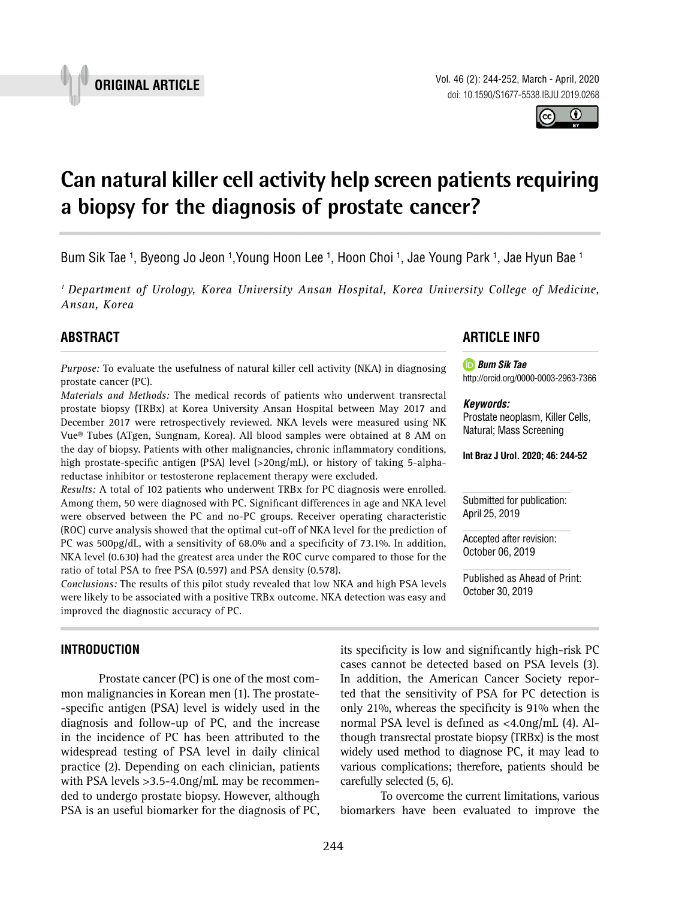Vol. 46 (2): 244-252, March - April, 2020 doi: 10.1590/S1677-5538.IBJU.2019.0268

**Can natural killer cell activity help screen patients requiring a biopsy for the diagnosis of prostate cancer? \_\_\_\_\_\_\_\_\_\_\_\_\_\_\_\_\_\_\_\_\_\_\_\_\_\_\_\_\_\_\_\_\_\_\_\_\_\_\_\_\_\_\_\_\_\_\_**

Bum Sik Tae <sup>1</sup>, Byeong Jo Jeon <sup>1</sup>,Young Hoon Lee <sup>1</sup>, Hoon Choi <sup>1</sup>, Jae Young Park <sup>1</sup>, Jae Hyun Bae <sup>1</sup>

*1 Department of Urology, Korea University Ansan Hospital, Korea University College of Medicine, Ansan, Korea*

# **ABSTRACT**

*Purpose:* To evaluate the usefulness of natural killer cell activity (NKA) in diagnosing prostate cancer (PC).

*Materials and Methods:* The medical records of patients who underwent transrectal prostate biopsy (TRBx) at Korea University Ansan Hospital between May 2017 and December 2017 were retrospectively reviewed. NKA levels were measured using NK Vue® Tubes (ATgen, Sungnam, Korea). All blood samples were obtained at 8 AM on the day of biopsy. Patients with other malignancies, chronic inflammatory conditions, high prostate-specific antigen (PSA) level (>20ng/mL), or history of taking 5-alphareductase inhibitor or testosterone replacement therapy were excluded.

*Results:* A total of 102 patients who underwent TRBx for PC diagnosis were enrolled. Among them, 50 were diagnosed with PC. Significant differences in age and NKA level were observed between the PC and no-PC groups. Receiver operating characteristic (ROC) curve analysis showed that the optimal cut-off of NKA level for the prediction of PC was 500pg/dL, with a sensitivity of 68.0% and a specificity of 73.1%. In addition, NKA level (0.630) had the greatest area under the ROC curve compared to those for the ratio of total PSA to free PSA (0.597) and PSA density (0.578).

*Conclusions:* The results of this pilot study revealed that low NKA and high PSA levels were likely to be associated with a positive TRBx outcome. NKA detection was easy and improved the diagnostic accuracy of PC.

# **INTRODUCTION**

Prostate cancer (PC) is one of the most common malignancies in Korean men (1). The prostate- -specific antigen (PSA) level is widely used in the diagnosis and follow-up of PC, and the increase in the incidence of PC has been attributed to the widespread testing of PSA level in daily clinical practice (2). Depending on each clinician, patients with PSA levels >3.5-4.0ng/mL may be recommended to undergo prostate biopsy. However, although PSA is an useful biomarker for the diagnosis of PC,

# **ARTICLE INFO**

*Bum Sik Tae* http://orcid.org/0000-0003-2963-7366

#### *Keywords:*

Prostate neoplasm, Killer Cells, Natural; Mass Screening

**Int Braz J Urol. 2020; 46: 244-52**

Submitted for publication: April 25, 2019

Accepted after revision: October 06, 2019

Published as Ahead of Print: October 30, 2019

its specificity is low and significantly high-risk PC cases cannot be detected based on PSA levels (3). In addition, the American Cancer Society reported that the sensitivity of PSA for PC detection is only 21%, whereas the specificity is 91% when the normal PSA level is defined as <4.0ng/mL (4). Although transrectal prostate biopsy (TRBx) is the most widely used method to diagnose PC, it may lead to various complications; therefore, patients should be carefully selected (5, 6).

To overcome the current limitations, various biomarkers have been evaluated to improve the



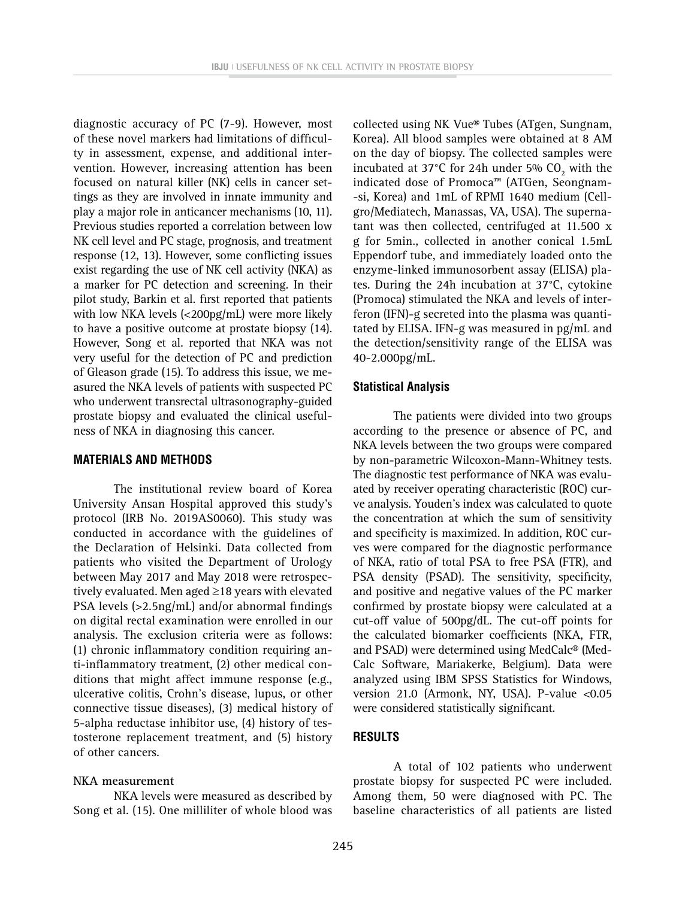diagnostic accuracy of PC (7-9). However, most of these novel markers had limitations of difficulty in assessment, expense, and additional intervention. However, increasing attention has been focused on natural killer (NK) cells in cancer settings as they are involved in innate immunity and play a major role in anticancer mechanisms (10, 11). Previous studies reported a correlation between low NK cell level and PC stage, prognosis, and treatment response (12, 13). However, some conflicting issues exist regarding the use of NK cell activity (NKA) as a marker for PC detection and screening. In their pilot study, Barkin et al. first reported that patients with low NKA levels (<200pg/mL) were more likely to have a positive outcome at prostate biopsy (14). However, Song et al. reported that NKA was not very useful for the detection of PC and prediction of Gleason grade (15). To address this issue, we measured the NKA levels of patients with suspected PC who underwent transrectal ultrasonography-guided prostate biopsy and evaluated the clinical usefulness of NKA in diagnosing this cancer.

#### **MATERIALS AND METHODS**

The institutional review board of Korea University Ansan Hospital approved this study's protocol (IRB No. 2019AS0060). This study was conducted in accordance with the guidelines of the Declaration of Helsinki. Data collected from patients who visited the Department of Urology between May 2017 and May 2018 were retrospectively evaluated. Men aged ≥18 years with elevated PSA levels (>2.5ng/mL) and/or abnormal findings on digital rectal examination were enrolled in our analysis. The exclusion criteria were as follows: (1) chronic inflammatory condition requiring anti-inflammatory treatment, (2) other medical conditions that might affect immune response (e.g., ulcerative colitis, Crohn's disease, lupus, or other connective tissue diseases), (3) medical history of 5-alpha reductase inhibitor use, (4) history of testosterone replacement treatment, and (5) history of other cancers.

#### **NKA measurement**

NKA levels were measured as described by Song et al. (15). One milliliter of whole blood was collected using NK Vue® Tubes (ATgen, Sungnam, Korea). All blood samples were obtained at 8 AM on the day of biopsy. The collected samples were incubated at 37°C for 24h under 5%  $CO_2$  with the indicated dose of Promoca™ (ATGen, Seongnam- -si, Korea) and 1mL of RPMI 1640 medium (Cellgro/Mediatech, Manassas, VA, USA). The supernatant was then collected, centrifuged at 11.500 x g for 5min., collected in another conical 1.5mL Eppendorf tube, and immediately loaded onto the enzyme-linked immunosorbent assay (ELISA) plates. During the 24h incubation at 37°C, cytokine (Promoca) stimulated the NKA and levels of interferon (IFN)-g secreted into the plasma was quantitated by ELISA. IFN-g was measured in pg/mL and the detection/sensitivity range of the ELISA was 40-2.000pg/mL.

#### **Statistical Analysis**

The patients were divided into two groups according to the presence or absence of PC, and NKA levels between the two groups were compared by non-parametric Wilcoxon-Mann-Whitney tests. The diagnostic test performance of NKA was evaluated by receiver operating characteristic (ROC) curve analysis. Youden's index was calculated to quote the concentration at which the sum of sensitivity and specificity is maximized. In addition, ROC curves were compared for the diagnostic performance of NKA, ratio of total PSA to free PSA (FTR), and PSA density (PSAD). The sensitivity, specificity, and positive and negative values of the PC marker confirmed by prostate biopsy were calculated at a cut-off value of 500pg/dL. The cut-off points for the calculated biomarker coefficients (NKA, FTR, and PSAD) were determined using MedCalc® (Med-Calc Software, Mariakerke, Belgium). Data were analyzed using IBM SPSS Statistics for Windows, version 21.0 (Armonk, NY, USA). P-value <0.05 were considered statistically significant.

## **RESULTS**

A total of 102 patients who underwent prostate biopsy for suspected PC were included. Among them, 50 were diagnosed with PC. The baseline characteristics of all patients are listed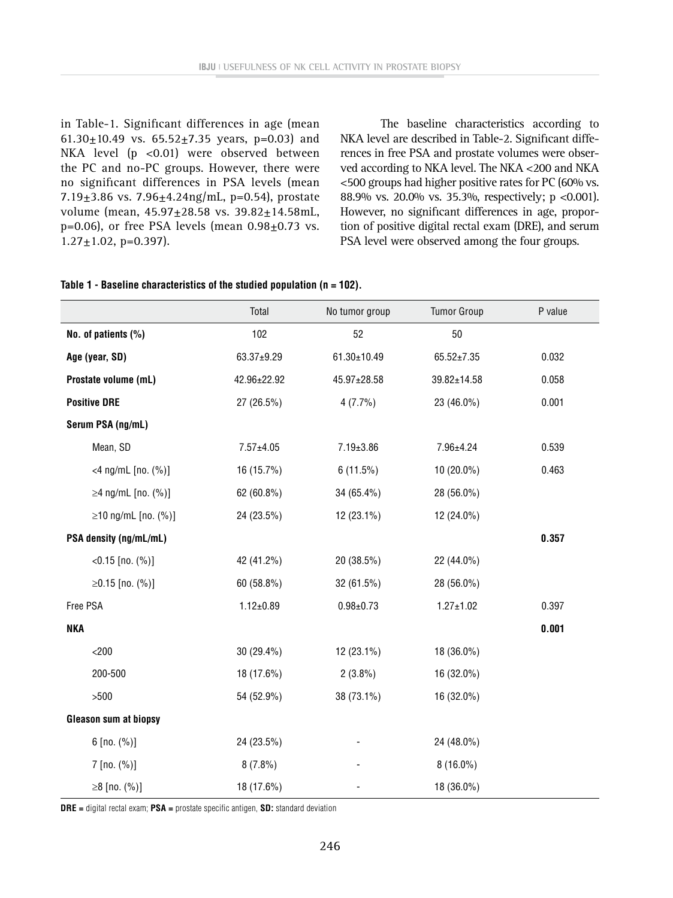in Table-1. Significant differences in age (mean 61.30 $\pm$ 10.49 vs. 65.52 $\pm$ 7.35 years, p=0.03) and NKA level (p <0.01) were observed between the PC and no-PC groups. However, there were no significant differences in PSA levels (mean 7.19 $\pm$ 3.86 vs. 7.96 $\pm$ 4.24ng/mL, p=0.54), prostate volume (mean, 45.97±28.58 vs. 39.82±14.58mL,  $p=0.06$ ), or free PSA levels (mean  $0.98\pm0.73$  vs.  $1.27 \pm 1.02$ , p=0.397).

The baseline characteristics according to NKA level are described in Table-2. Significant differences in free PSA and prostate volumes were observed according to NKA level. The NKA <200 and NKA <500 groups had higher positive rates for PC (60% vs. 88.9% vs. 20.0% vs. 35.3%, respectively; p <0.001). However, no significant differences in age, proportion of positive digital rectal exam (DRE), and serum PSA level were observed among the four groups.

|  |  | Table 1 - Baseline characteristics of the studied population (n = 102). |  |  |  |  |  |
|--|--|-------------------------------------------------------------------------|--|--|--|--|--|
|--|--|-------------------------------------------------------------------------|--|--|--|--|--|

|                              | Total           | No tumor group | <b>Tumor Group</b> | P value |
|------------------------------|-----------------|----------------|--------------------|---------|
| No. of patients (%)          | 102             | 52             | 50                 |         |
| Age (year, SD)               | 63.37±9.29      | 61.30±10.49    | $65.52 \pm 7.35$   | 0.032   |
| Prostate volume (mL)         | 42.96±22.92     | 45.97±28.58    | 39.82±14.58        | 0.058   |
| <b>Positive DRE</b>          | 27 (26.5%)      | 4(7.7%)        | 23 (46.0%)         | 0.001   |
| Serum PSA (ng/mL)            |                 |                |                    |         |
| Mean, SD                     | $7.57 \pm 4.05$ | 7.19±3.86      | 7.96±4.24          | 0.539   |
| <4 ng/mL $[no. (%)]$         | 16 (15.7%)      | 6(11.5%)       | 10 (20.0%)         | 0.463   |
| ≥4 ng/mL $[no. (%)]$         | 62 (60.8%)      | 34 (65.4%)     | 28 (56.0%)         |         |
| ≥10 ng/mL [no. $(% )$ ]      | 24 (23.5%)      | 12 (23.1%)     | 12 (24.0%)         |         |
| PSA density (ng/mL/mL)       |                 |                |                    | 0.357   |
| $<$ 0.15 [no. $(\%)$ ]       | 42 (41.2%)      | 20 (38.5%)     | 22 (44.0%)         |         |
| ≥0.15 [no. $(\%)$ ]          | 60 (58.8%)      | 32 (61.5%)     | 28 (56.0%)         |         |
| Free PSA                     | $1.12 \pm 0.89$ | $0.98 + 0.73$  | $1.27 \pm 1.02$    | 0.397   |
| <b>NKA</b>                   |                 |                |                    | 0.001   |
| $<$ 200                      | 30 (29.4%)      | 12 (23.1%)     | 18 (36.0%)         |         |
| 200-500                      | 18 (17.6%)      | $2(3.8\%)$     | 16 (32.0%)         |         |
| $>500$                       | 54 (52.9%)      | 38 (73.1%)     | 16 (32.0%)         |         |
| <b>Gleason sum at biopsy</b> |                 |                |                    |         |
| $6$ [no. $(\%)$ ]            | 24 (23.5%)      |                | 24 (48.0%)         |         |
| $7$ [no. $(\%)$ ]            | $8(7.8\%)$      |                | $8(16.0\%)$        |         |
| ≥8 [no. $(\%)$ ]             | 18 (17.6%)      |                | 18 (36.0%)         |         |

**DRE =** digital rectal exam; **PSA =** prostate specific antigen, **SD:** standard deviation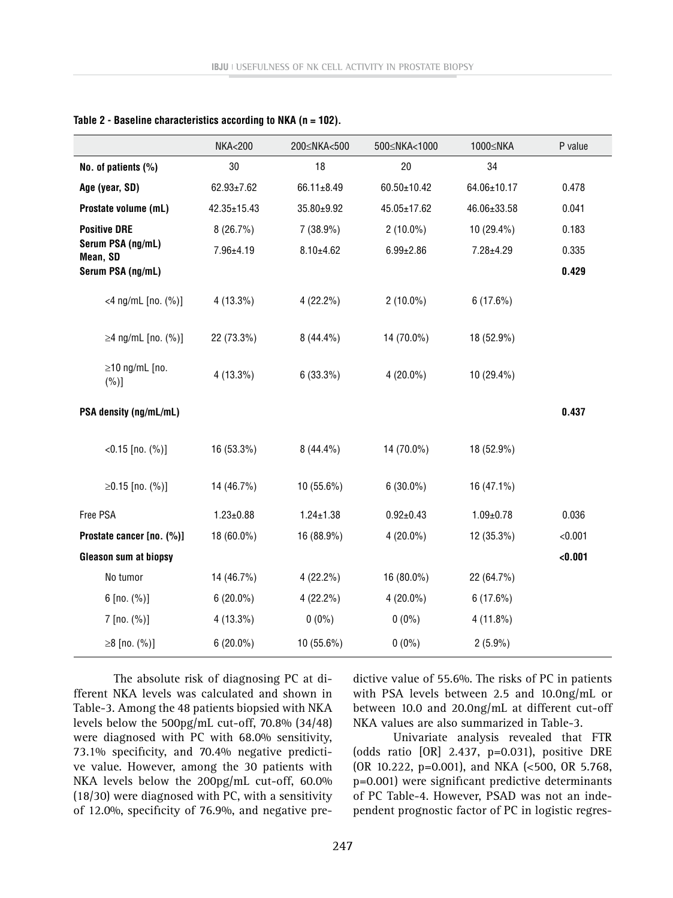|                                 | <b>NKA&lt;200</b> | 200≤NKA<500     | 500 <nka<1000< th=""><th>1000≤NKA</th><th>P value</th></nka<1000<> | 1000≤NKA        | P value |
|---------------------------------|-------------------|-----------------|--------------------------------------------------------------------|-----------------|---------|
| No. of patients $(\%)$          | 30                | 18              | 20                                                                 | 34              |         |
| Age (year, SD)                  | $62.93 \pm 7.62$  | 66.11±8.49      | 60.50±10.42                                                        | 64.06±10.17     | 0.478   |
| Prostate volume (mL)            | 42.35±15.43       | 35.80±9.92      | 45.05±17.62                                                        | 46.06±33.58     | 0.041   |
| <b>Positive DRE</b>             | 8(26.7%)          | $7(38.9\%)$     | $2(10.0\%)$                                                        | 10 (29.4%)      | 0.183   |
| Serum PSA (ng/mL)<br>Mean, SD   | 7.96±4.19         | $8.10 \pm 4.62$ | $6.99 \pm 2.86$                                                    | 7.28±4.29       | 0.335   |
| Serum PSA (ng/mL)               |                   |                 |                                                                    |                 | 0.429   |
| <4 ng/mL $[no. (%)]$            | $4(13.3\%)$       | $4(22.2\%)$     | $2(10.0\%)$                                                        | 6(17.6%)        |         |
| ≥4 ng/mL [no. $(%)$ ]           | 22 (73.3%)        | $8(44.4\%)$     | 14 (70.0%)                                                         | 18 (52.9%)      |         |
| $\geq$ 10 ng/mL [no.<br>$(\%)]$ | $4(13.3\%)$       | 6(33.3%)        | $4(20.0\%)$                                                        | $10(29.4\%)$    |         |
| PSA density (ng/mL/mL)          |                   |                 |                                                                    |                 | 0.437   |
| $<$ 0.15 [no. $(\%)$ ]          | 16 (53.3%)        | $8(44.4\%)$     | 14 (70.0%)                                                         | 18 (52.9%)      |         |
| ≥0.15 [no. $(%)$ ]              | 14 (46.7%)        | 10 (55.6%)      | $6(30.0\%)$                                                        | 16 (47.1%)      |         |
| Free PSA                        | $1.23 \pm 0.88$   | $1.24 \pm 1.38$ | $0.92 \pm 0.43$                                                    | $1.09 \pm 0.78$ | 0.036   |
| Prostate cancer [no. (%)]       | 18 (60.0%)        | 16 (88.9%)      | $4(20.0\%)$                                                        | 12 (35.3%)      | < 0.001 |
| <b>Gleason sum at biopsy</b>    |                   |                 |                                                                    |                 | < 0.001 |
| No tumor                        | 14 (46.7%)        | $4(22.2\%)$     | 16 (80.0%)                                                         | 22 (64.7%)      |         |
| $6$ [no. $(\%)$ ]               | $6(20.0\%)$       | $4(22.2\%)$     | $4(20.0\%)$                                                        | 6(17.6%)        |         |
| $7$ [no. $(\%)$ ]               | $4(13.3\%)$       | $0(0\%)$        | $0(0\%)$                                                           | $4(11.8\%)$     |         |
| ≥8 [no. $(\%)$ ]                | $6(20.0\%)$       | 10 (55.6%)      | $0(0\%)$                                                           | $2(5.9\%)$      |         |

**Table 2 - Baseline characteristics according to NKA (n = 102).**

The absolute risk of diagnosing PC at different NKA levels was calculated and shown in Table-3. Among the 48 patients biopsied with NKA levels below the 500pg/mL cut-off, 70.8% (34/48) were diagnosed with PC with 68.0% sensitivity, 73.1% specificity, and 70.4% negative predictive value. However, among the 30 patients with NKA levels below the 200pg/mL cut-off, 60.0% (18/30) were diagnosed with PC, with a sensitivity of 12.0%, specificity of 76.9%, and negative predictive value of 55.6%. The risks of PC in patients with PSA levels between 2.5 and 10.0ng/mL or between 10.0 and 20.0ng/mL at different cut-off NKA values are also summarized in Table-3.

Univariate analysis revealed that FTR (odds ratio [OR] 2.437, p=0.031), positive DRE (OR 10.222, p=0.001), and NKA (<500, OR 5.768, p=0.001) were significant predictive determinants of PC Table-4. However, PSAD was not an independent prognostic factor of PC in logistic regres-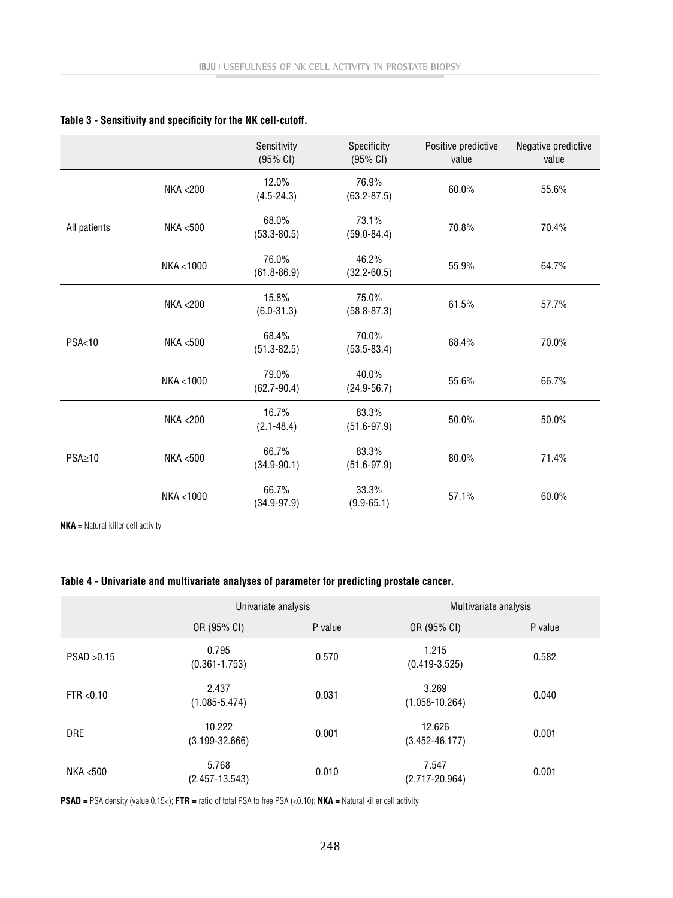|                  |                    | Sensitivity<br>(95% CI)  | Specificity<br>(95% CI)  | Positive predictive<br>value | Negative predictive<br>value |
|------------------|--------------------|--------------------------|--------------------------|------------------------------|------------------------------|
|                  | NKA <200           | 12.0%<br>$(4.5 - 24.3)$  | 76.9%<br>$(63.2 - 87.5)$ | 60.0%                        | 55.6%                        |
| All patients     | <b>NKA &lt;500</b> | 68.0%<br>$(53.3 - 80.5)$ | 73.1%<br>$(59.0 - 84.4)$ | 70.8%                        | 70.4%                        |
|                  | NKA <1000          | 76.0%<br>$(61.8 - 86.9)$ | 46.2%<br>$(32.2 - 60.5)$ | 55.9%                        | 64.7%                        |
| <b>PSA&lt;10</b> | <b>NKA &lt;200</b> | 15.8%<br>$(6.0 - 31.3)$  | 75.0%<br>$(58.8 - 87.3)$ | 61.5%                        | 57.7%                        |
|                  | NKA <500           | 68.4%<br>$(51.3 - 82.5)$ | 70.0%<br>$(53.5 - 83.4)$ | 68.4%                        | 70.0%                        |
|                  | NKA <1000          | 79.0%<br>$(62.7 - 90.4)$ | 40.0%<br>$(24.9 - 56.7)$ | 55.6%                        | 66.7%                        |
| $PSA \geq 10$    | <b>NKA &lt;200</b> | 16.7%<br>$(2.1 - 48.4)$  | 83.3%<br>$(51.6 - 97.9)$ | 50.0%                        | 50.0%                        |
|                  | <b>NKA &lt;500</b> | 66.7%<br>$(34.9 - 90.1)$ | 83.3%<br>$(51.6 - 97.9)$ | 80.0%                        | 71.4%                        |
|                  | NKA <1000          | 66.7%<br>$(34.9 - 97.9)$ | 33.3%<br>$(9.9 - 65.1)$  | 57.1%                        | 60.0%                        |

### **Table 3 - Sensitivity and specificity for the NK cell-cutoff.**

**NKA =** Natural killer cell activity

### **Table 4 - Univariate and multivariate analyses of parameter for predicting prostate cancer.**

|             | Univariate analysis          |         | Multivariate analysis        |         |  |
|-------------|------------------------------|---------|------------------------------|---------|--|
|             | OR (95% CI)                  | P value | OR (95% CI)                  | P value |  |
| PSAD > 0.15 | 0.795<br>$(0.361 - 1.753)$   | 0.570   | 1.215<br>$(0.419 - 3.525)$   | 0.582   |  |
| FTR < 0.10  | 2.437<br>$(1.085 - 5.474)$   | 0.031   | 3.269<br>$(1.058 - 10.264)$  | 0.040   |  |
| <b>DRE</b>  | 10.222<br>$(3.199 - 32.666)$ | 0.001   | 12.626<br>$(3.452 - 46.177)$ | 0.001   |  |
| NKA <500    | 5.768<br>$(2.457 - 13.543)$  | 0.010   | 7.547<br>$(2.717 - 20.964)$  | 0.001   |  |

**PSAD =** PSA density (value 0.15<); **FTR =** ratio of total PSA to free PSA (<0.10); **NKA =** Natural killer cell activity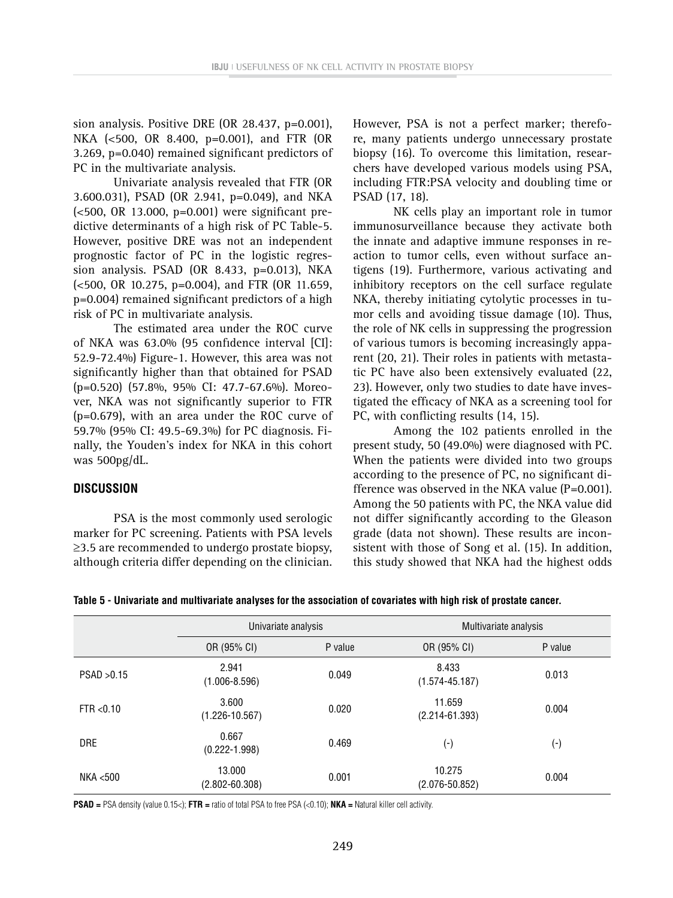sion analysis. Positive DRE (OR 28.437, p=0.001), NKA (<500, OR 8.400, p=0.001), and FTR (OR 3.269, p=0.040) remained significant predictors of PC in the multivariate analysis.

Univariate analysis revealed that FTR (OR 3.600.031), PSAD (OR 2.941, p=0.049), and NKA (<500, OR 13.000, p=0.001) were significant predictive determinants of a high risk of PC Table-5. However, positive DRE was not an independent prognostic factor of PC in the logistic regression analysis. PSAD (OR 8.433, p=0.013), NKA (<500, OR 10.275, p=0.004), and FTR (OR 11.659, p=0.004) remained significant predictors of a high risk of PC in multivariate analysis.

The estimated area under the ROC curve of NKA was 63.0% (95 confidence interval [CI]: 52.9-72.4%) Figure-1. However, this area was not significantly higher than that obtained for PSAD (p=0.520) (57.8%, 95% CI: 47.7-67.6%). Moreover, NKA was not significantly superior to FTR (p=0.679), with an area under the ROC curve of 59.7% (95% CI: 49.5-69.3%) for PC diagnosis. Finally, the Youden's index for NKA in this cohort was 500pg/dL.

#### **DISCUSSION**

PSA is the most commonly used serologic marker for PC screening. Patients with PSA levels ≥3.5 are recommended to undergo prostate biopsy, although criteria differ depending on the clinician.

However, PSA is not a perfect marker; therefore, many patients undergo unnecessary prostate biopsy (16). To overcome this limitation, researchers have developed various models using PSA, including FTR:PSA velocity and doubling time or PSAD (17, 18).

NK cells play an important role in tumor immunosurveillance because they activate both the innate and adaptive immune responses in reaction to tumor cells, even without surface antigens (19). Furthermore, various activating and inhibitory receptors on the cell surface regulate NKA, thereby initiating cytolytic processes in tumor cells and avoiding tissue damage (10). Thus, the role of NK cells in suppressing the progression of various tumors is becoming increasingly apparent (20, 21). Their roles in patients with metastatic PC have also been extensively evaluated (22, 23). However, only two studies to date have investigated the efficacy of NKA as a screening tool for PC, with conflicting results (14, 15).

Among the 102 patients enrolled in the present study, 50 (49.0%) were diagnosed with PC. When the patients were divided into two groups according to the presence of PC, no significant difference was observed in the NKA value (P=0.001). Among the 50 patients with PC, the NKA value did not differ significantly according to the Gleason grade (data not shown). These results are inconsistent with those of Song et al. (15). In addition, this study showed that NKA had the highest odds

|  |  | Table 5 - Univariate and multivariate analyses for the association of covariates with high risk of prostate cancer. |  |
|--|--|---------------------------------------------------------------------------------------------------------------------|--|
|  |  |                                                                                                                     |  |

|             | Univariate analysis          |         | Multivariate analysis        |                    |  |
|-------------|------------------------------|---------|------------------------------|--------------------|--|
|             | OR (95% CI)                  | P value | OR (95% CI)                  | P value            |  |
| PSAD > 0.15 | 2.941<br>$(1.006 - 8.596)$   | 0.049   | 8.433<br>$(1.574 - 45.187)$  | 0.013              |  |
| FTR < 0.10  | 3.600<br>$(1.226 - 10.567)$  | 0.020   | 11.659<br>$(2.214 - 61.393)$ | 0.004              |  |
| <b>DRE</b>  | 0.667<br>$(0.222 - 1.998)$   | 0.469   | $(\textnormal{-})$           | $(\textnormal{-})$ |  |
| NKA <500    | 13.000<br>$(2.802 - 60.308)$ | 0.001   | 10.275<br>$(2.076 - 50.852)$ | 0.004              |  |

**PSAD =** PSA density (value 0.15<); **FTR =** ratio of total PSA to free PSA (<0.10); **NKA =** Natural killer cell activity.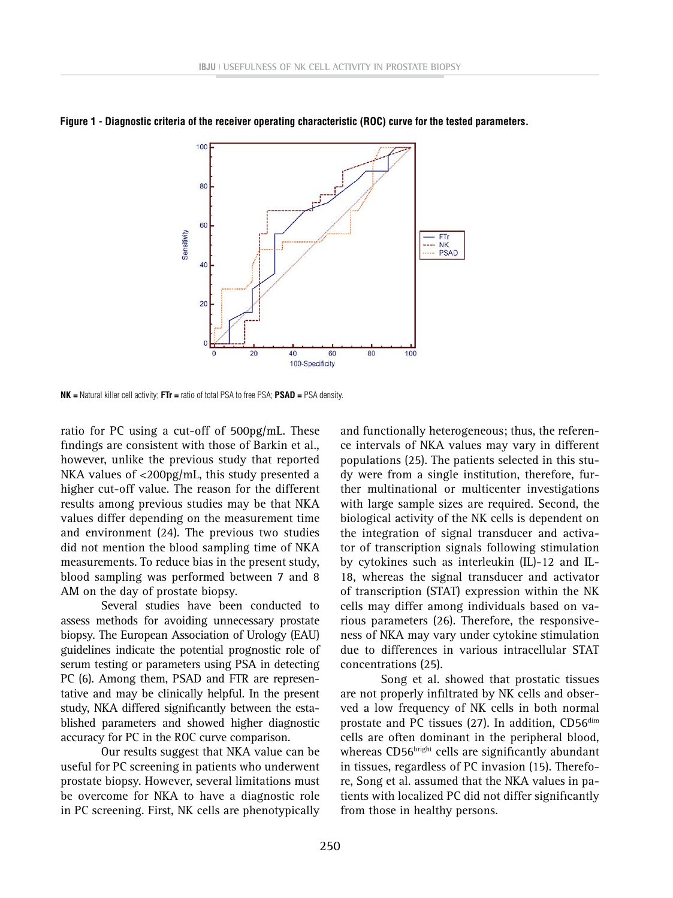

**Figure 1 - Diagnostic criteria of the receiver operating characteristic (ROC) curve for the tested parameters.**

**NK =** Natural killer cell activity; **FTr =** ratio of total PSA to free PSA; **PSAD =** PSA density.

ratio for PC using a cut-off of 500pg/mL. These findings are consistent with those of Barkin et al., however, unlike the previous study that reported NKA values of <200pg/mL, this study presented a higher cut-off value. The reason for the different results among previous studies may be that NKA values differ depending on the measurement time and environment (24). The previous two studies did not mention the blood sampling time of NKA measurements. To reduce bias in the present study, blood sampling was performed between 7 and 8 AM on the day of prostate biopsy.

Several studies have been conducted to assess methods for avoiding unnecessary prostate biopsy. The European Association of Urology (EAU) guidelines indicate the potential prognostic role of serum testing or parameters using PSA in detecting PC (6). Among them, PSAD and FTR are representative and may be clinically helpful. In the present study, NKA differed significantly between the established parameters and showed higher diagnostic accuracy for PC in the ROC curve comparison.

Our results suggest that NKA value can be useful for PC screening in patients who underwent prostate biopsy. However, several limitations must be overcome for NKA to have a diagnostic role in PC screening. First, NK cells are phenotypically

and functionally heterogeneous; thus, the reference intervals of NKA values may vary in different populations (25). The patients selected in this study were from a single institution, therefore, further multinational or multicenter investigations with large sample sizes are required. Second, the biological activity of the NK cells is dependent on the integration of signal transducer and activator of transcription signals following stimulation by cytokines such as interleukin (IL)-12 and IL-18, whereas the signal transducer and activator of transcription (STAT) expression within the NK cells may differ among individuals based on various parameters (26). Therefore, the responsiveness of NKA may vary under cytokine stimulation due to differences in various intracellular STAT concentrations (25).

Song et al. showed that prostatic tissues are not properly infiltrated by NK cells and observed a low frequency of NK cells in both normal prostate and PC tissues (27). In addition, CD56<sup>dim</sup> cells are often dominant in the peripheral blood, whereas CD56bright cells are significantly abundant in tissues, regardless of PC invasion (15). Therefore, Song et al. assumed that the NKA values in patients with localized PC did not differ significantly from those in healthy persons.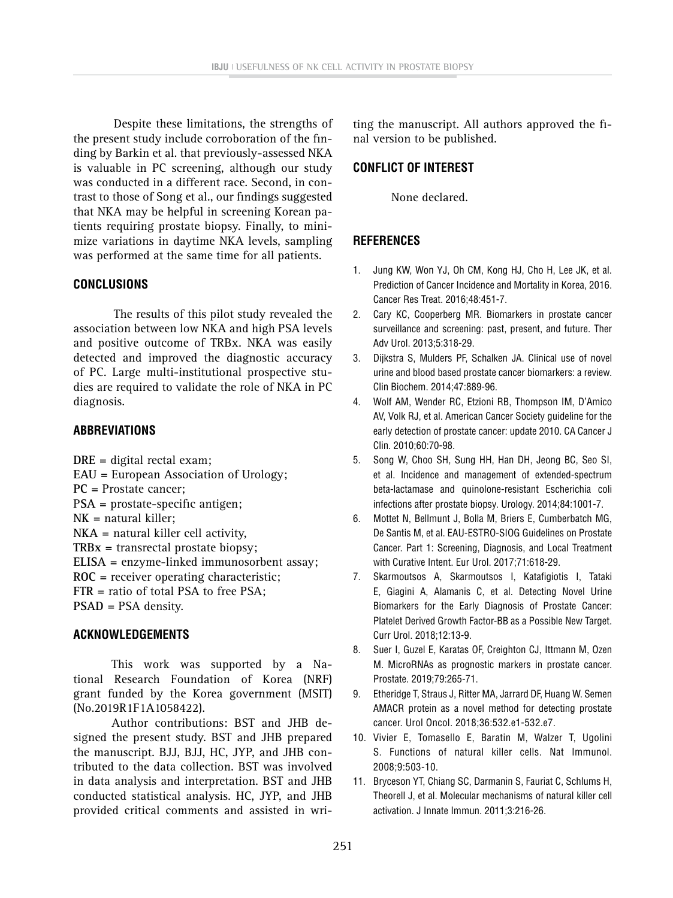Despite these limitations, the strengths of the present study include corroboration of the finding by Barkin et al. that previously-assessed NKA is valuable in PC screening, although our study was conducted in a different race. Second, in contrast to those of Song et al., our findings suggested that NKA may be helpful in screening Korean patients requiring prostate biopsy. Finally, to minimize variations in daytime NKA levels, sampling was performed at the same time for all patients.

#### **CONCLUSIONS**

The results of this pilot study revealed the association between low NKA and high PSA levels and positive outcome of TRBx. NKA was easily detected and improved the diagnostic accuracy of PC. Large multi-institutional prospective studies are required to validate the role of NKA in PC diagnosis.

### **ABBREVIATIONS**

**DRE =** digital rectal exam; **EAU =** European Association of Urology; **PC =** Prostate cancer; P**SA =** prostate-specific antigen; **NK =** natural killer; **NKA =** natural killer cell activity, **TRBx =** transrectal prostate biopsy; **ELISA =** enzyme-linked immunosorbent assay; **ROC =** receiver operating characteristic; **FTR =** ratio of total PSA to free PSA; **PSAD =** PSA density.

# **ACKNOWLEDGEMENTS**

This work was supported by a National Research Foundation of Korea (NRF) grant funded by the Korea government (MSIT) (No.2019R1F1A1058422).

Author contributions: BST and JHB designed the present study. BST and JHB prepared the manuscript. BJJ, BJJ, HC, JYP, and JHB contributed to the data collection. BST was involved in data analysis and interpretation. BST and JHB conducted statistical analysis. HC, JYP, and JHB provided critical comments and assisted in writing the manuscript. All authors approved the final version to be published.

## **CONFLICT OF INTEREST**

None declared.

# **REFERENCES**

- 1. Jung KW, Won YJ, Oh CM, Kong HJ, Cho H, Lee JK, et al. Prediction of Cancer Incidence and Mortality in Korea, 2016. Cancer Res Treat. 2016;48:451-7.
- 2. Cary KC, Cooperberg MR. Biomarkers in prostate cancer surveillance and screening: past, present, and future. Ther Adv Urol. 2013;5:318-29.
- 3. Dijkstra S, Mulders PF, Schalken JA. Clinical use of novel urine and blood based prostate cancer biomarkers: a review. Clin Biochem. 2014;47:889-96.
- 4. Wolf AM, Wender RC, Etzioni RB, Thompson IM, D'Amico AV, Volk RJ, et al. American Cancer Society guideline for the early detection of prostate cancer: update 2010. CA Cancer J Clin. 2010;60:70-98.
- 5. Song W, Choo SH, Sung HH, Han DH, Jeong BC, Seo SI, et al. Incidence and management of extended-spectrum beta-lactamase and quinolone-resistant Escherichia coli infections after prostate biopsy. Urology. 2014;84:1001-7.
- 6. Mottet N, Bellmunt J, Bolla M, Briers E, Cumberbatch MG, De Santis M, et al. EAU-ESTRO-SIOG Guidelines on Prostate Cancer. Part 1: Screening, Diagnosis, and Local Treatment with Curative Intent. Eur Urol. 2017;71:618-29.
- 7. Skarmoutsos A, Skarmoutsos I, Katafigiotis I, Tataki E, Giagini A, Alamanis C, et al. Detecting Novel Urine Biomarkers for the Early Diagnosis of Prostate Cancer: Platelet Derived Growth Factor-BB as a Possible New Target. Curr Urol. 2018;12:13-9.
- 8. Suer I, Guzel E, Karatas OF, Creighton CJ, Ittmann M, Ozen M. MicroRNAs as prognostic markers in prostate cancer. Prostate. 2019;79:265-71.
- 9. Etheridge T, Straus J, Ritter MA, Jarrard DF, Huang W. Semen AMACR protein as a novel method for detecting prostate cancer. Urol Oncol. 2018;36:532.e1-532.e7.
- 10. Vivier E, Tomasello E, Baratin M, Walzer T, Ugolini S. Functions of natural killer cells. Nat Immunol. 2008;9:503-10.
- 11. Bryceson YT, Chiang SC, Darmanin S, Fauriat C, Schlums H, Theorell J, et al. Molecular mechanisms of natural killer cell activation. J Innate Immun. 2011;3:216-26.